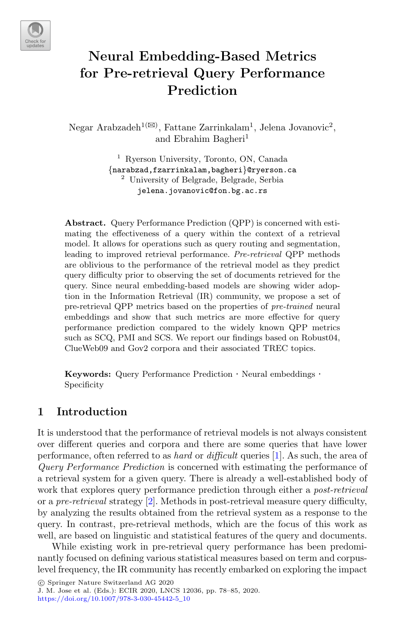

# **Neural Embedding-Based Metrics for Pre-retrieval Query Performance Prediction**

Negar Arabzadeh<sup>1( $\boxtimes$ )</sup>, Fattane Zarrinkalam<sup>1</sup>, Jelena Jovanovic<sup>2</sup>, and Ebrahim Bagheri<sup>1</sup>

> <sup>1</sup> Ryerson University, Toronto, ON, Canada<br>{narabzad.fzarrinkalam.bagheri}@rverson.ca <sup>2</sup> University of Belgrade, Belgrade, Serbia jelena.jovanovic@fon.bg.ac.rs

**Abstract.** Query Performance Prediction (QPP) is concerned with estimating the effectiveness of a query within the context of a retrieval model. It allows for operations such as query routing and segmentation, leading to improved retrieval performance. *Pre-retrieval* QPP methods are oblivious to the performance of the retrieval model as they predict query difficulty prior to observing the set of documents retrieved for the query. Since neural embedding-based models are showing wider adoption in the Information Retrieval (IR) community, we propose a set of pre-retrieval QPP metrics based on the properties of *pre-trained* neural embeddings and show that such metrics are more effective for query performance prediction compared to the widely known QPP metrics such as SCQ, PMI and SCS. We report our findings based on Robust04, ClueWeb09 and Gov2 corpora and their associated TREC topics.

**Keywords:** Query Performance Prediction  $\cdot$  Neural embeddings  $\cdot$  Specificity

### **1 Introduction**

It is understood that the performance of retrieval models is not always consistent over different queries and corpora and there are some queries that have lower performance, often referred to as *hard* or *difficult* queries [\[1](#page-6-0)]. As such, the area of *Query Performance Prediction* is concerned with estimating the performance of a retrieval system for a given query. There is already a well-established body of work that explores query performance prediction through either a *post-retrieval* or a *pre-retrieval* strategy [\[2](#page-6-1)]. Methods in post-retrieval measure query difficulty, by analyzing the results obtained from the retrieval system as a response to the query. In contrast, pre-retrieval methods, which are the focus of this work as well, are based on linguistic and statistical features of the query and documents.

While existing work in pre-retrieval query performance has been predominantly focused on defining various statistical measures based on term and corpuslevel frequency, the IR community has recently embarked on exploring the impact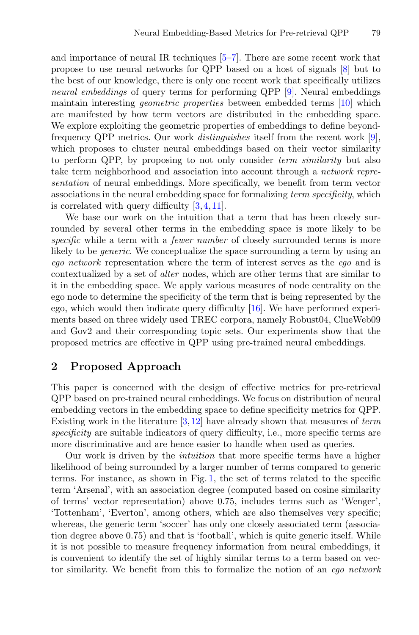and importance of neural IR techniques [\[5](#page-6-2)[–7\]](#page-6-3). There are some recent work that propose to use neural networks for QPP based on a host of signals [\[8\]](#page-6-4) but to the best of our knowledge, there is only one recent work that specifically utilizes *neural embeddings* of query terms for performing QPP [\[9](#page-6-5)]. Neural embeddings maintain interesting *geometric properties* between embedded terms [\[10](#page-6-6)] which are manifested by how term vectors are distributed in the embedding space. We explore exploiting the geometric properties of embeddings to define beyondfrequency QPP metrics. Our work *distinguishes* itself from the recent work [\[9\]](#page-6-5), which proposes to cluster neural embeddings based on their vector similarity to perform QPP, by proposing to not only consider *term similarity* but also take term neighborhood and association into account through a *network representation* of neural embeddings. More specifically, we benefit from term vector associations in the neural embedding space for formalizing *term specificity*, which is correlated with query difficulty [\[3,](#page-6-7)[4,](#page-6-8)[11](#page-6-9)].

We base our work on the intuition that a term that has been closely surrounded by several other terms in the embedding space is more likely to be *specific* while a term with a *fewer number* of closely surrounded terms is more likely to be *generic*. We conceptualize the space surrounding a term by using an *ego network* representation where the term of interest serves as the *ego* and is contextualized by a set of *alter* nodes, which are other terms that are similar to it in the embedding space. We apply various measures of node centrality on the ego node to determine the specificity of the term that is being represented by the ego, which would then indicate query difficulty [\[16](#page-7-0)]. We have performed experiments based on three widely used TREC corpora, namely Robust04, ClueWeb09 and Gov2 and their corresponding topic sets. Our experiments show that the proposed metrics are effective in QPP using pre-trained neural embeddings.

#### **2 Proposed Approach**

This paper is concerned with the design of effective metrics for pre-retrieval QPP based on pre-trained neural embeddings. We focus on distribution of neural embedding vectors in the embedding space to define specificity metrics for QPP. Existing work in the literature [\[3,](#page-6-7)[12](#page-6-10)] have already shown that measures of *term specificity* are suitable indicators of query difficulty, i.e., more specific terms are more discriminative and are hence easier to handle when used as queries.

Our work is driven by the *intuition* that more specific terms have a higher likelihood of being surrounded by a larger number of terms compared to generic terms. For instance, as shown in Fig. [1,](#page-2-0) the set of terms related to the specific term 'Arsenal', with an association degree (computed based on cosine similarity of terms' vector representation) above 0.75, includes terms such as 'Wenger', 'Tottenham', 'Everton', among others, which are also themselves very specific; whereas, the generic term 'soccer' has only one closely associated term (association degree above 0.75) and that is 'football', which is quite generic itself. While it is not possible to measure frequency information from neural embeddings, it is convenient to identify the set of highly similar terms to a term based on vector similarity. We benefit from this to formalize the notion of an *ego network*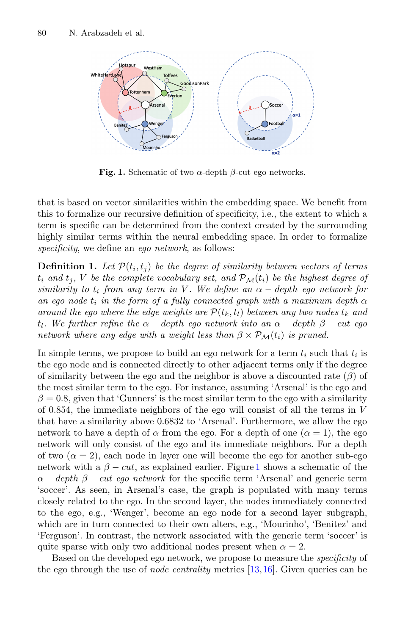

<span id="page-2-0"></span>**Fig. 1.** Schematic of two  $\alpha$ -depth  $\beta$ -cut ego networks.

that is based on vector similarities within the embedding space. We benefit from this to formalize our recursive definition of specificity, i.e., the extent to which a term is specific can be determined from the context created by the surrounding highly similar terms within the neural embedding space. In order to formalize *specificity*, we define an *ego network*, as follows:

**Definition 1.** Let  $\mathcal{P}(t_i, t_j)$  be the degree of similarity between vectors of terms  $t_i$  and  $t_j$ , V be the complete vocabulary set, and  $\mathcal{P}_{\mathcal{M}}(t_i)$  be the highest degree of *similarity to*  $t_i$  *from any term in* V. We define an  $\alpha$  – depth ego network for *an ego node*  $t_i$  *in the form of a fully connected graph with a maximum depth*  $\alpha$ *around the ego where the edge weights are*  $P(t_k, t_l)$  *between any two nodes*  $t_k$  *and*  $t_l$ *. We further refine the*  $\alpha$  *−* depth *ego network into an*  $\alpha$  − depth  $\beta$  − cut *ego network where any edge with a weight less than*  $\beta \times \mathcal{P}_M(t_i)$  *is pruned.* 

In simple terms, we propose to build an ego network for a term  $t_i$  such that  $t_i$  is the ego node and is connected directly to other adjacent terms only if the degree of similarity between the ego and the neighbor is above a discounted rate  $(\beta)$  of the most similar term to the ego. For instance, assuming 'Arsenal' is the ego and  $\beta = 0.8$ , given that 'Gunners' is the most similar term to the ego with a similarity of 0.854, the immediate neighbors of the ego will consist of all the terms in  $V$ that have a similarity above 0.6832 to 'Arsenal'. Furthermore, we allow the ego network to have a depth of  $\alpha$  from the ego. For a depth of one  $(\alpha = 1)$ , the ego network will only consist of the ego and its immediate neighbors. For a depth of two  $(\alpha = 2)$ , each node in layer one will become the ego for another sub-ego network with a  $\beta - cut$ , as explained earlier. Figure [1](#page-2-0) shows a schematic of the <sup>α</sup> *<sup>−</sup>* depth β *<sup>−</sup>* cut *ego network* for the specific term 'Arsenal' and generic term 'soccer'. As seen, in Arsenal's case, the graph is populated with many terms closely related to the ego. In the second layer, the nodes immediately connected to the ego, e.g., 'Wenger', become an ego node for a second layer subgraph, which are in turn connected to their own alters, e.g., 'Mourinho', 'Benitez' and 'Ferguson'. In contrast, the network associated with the generic term 'soccer' is quite sparse with only two additional nodes present when  $\alpha = 2$ .

Based on the developed ego network, we propose to measure the *specificity* of the ego through the use of *node centrality* metrics [\[13](#page-7-1),[16\]](#page-7-0). Given queries can be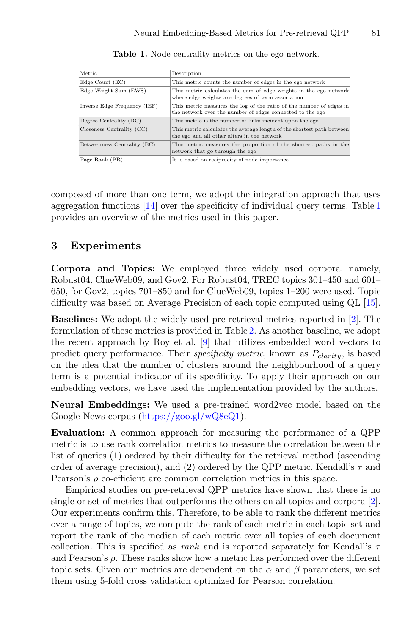| Metric                       | Description                                                                                                                      |
|------------------------------|----------------------------------------------------------------------------------------------------------------------------------|
| Edge Count (EC)              | This metric counts the number of edges in the ego network                                                                        |
| Edge Weight Sum (EWS)        | This metric calculates the sum of edge weights in the ego network<br>where edge weights are degrees of term association          |
| Inverse Edge Frequency (IEF) | This metric measures the log of the ratio of the number of edges in<br>the network over the number of edges connected to the ego |
| Degree Centrality (DC)       | This metric is the number of links incident upon the ego                                                                         |
| Closeness Centrality (CC)    | This metric calculates the average length of the shortest path between<br>the ego and all other alters in the network            |
| Betweenness Centrality (BC)  | This metric measures the proportion of the shortest paths in the<br>network that go through the ego                              |
| Page Rank (PR)               | It is based on reciprocity of node importance                                                                                    |
|                              |                                                                                                                                  |

<span id="page-3-0"></span>Table 1. Node centrality metrics on the ego network.

composed of more than one term, we adopt the integration approach that uses aggregation functions [\[14\]](#page-7-2) over the specificity of individual query terms. Table [1](#page-3-0) provides an overview of the metrics used in this paper.

#### **3 Experiments**

**Corpora and Topics:** We employed three widely used corpora, namely, Robust04, ClueWeb09, and Gov2. For Robust04, TREC topics 301–450 and 601– 650, for Gov2, topics 701–850 and for ClueWeb09, topics 1–200 were used. Topic difficulty was based on Average Precision of each topic computed using QL [\[15\]](#page-7-3).

**Baselines:** We adopt the widely used pre-retrieval metrics reported in [\[2](#page-6-1)]. The formulation of these metrics is provided in Table [2.](#page-4-0) As another baseline, we adopt the recent approach by Roy et al. [\[9\]](#page-6-5) that utilizes embedded word vectors to predict query performance. Their *specificity metric*, known as P*clarity*, is based on the idea that the number of clusters around the neighbourhood of a query term is a potential indicator of its specificity. To apply their approach on our embedding vectors, we have used the implementation provided by the authors.

**Neural Embeddings:** We used a pre-trained word2vec model based on the Google News corpus [\(https://goo.gl/wQ8eQ1\)](https://goo.gl/wQ8eQ1).

**Evaluation:** A common approach for measuring the performance of a QPP metric is to use rank correlation metrics to measure the correlation between the list of queries (1) ordered by their difficulty for the retrieval method (ascending order of average precision), and (2) ordered by the QPP metric. Kendall's  $\tau$  and Pearson's  $\rho$  co-efficient are common correlation metrics in this space.

Empirical studies on pre-retrieval QPP metrics have shown that there is no single or set of metrics that outperforms the others on all topics and corpora [\[2\]](#page-6-1). Our experiments confirm this. Therefore, to be able to rank the different metrics over a range of topics, we compute the rank of each metric in each topic set and report the rank of the median of each metric over all topics of each document collection. This is specified as *rank* and is reported separately for Kendall's τ and Pearson's  $\rho$ . These ranks show how a metric has performed over the different topic sets. Given our metrics are dependent on the  $\alpha$  and  $\beta$  parameters, we set them using 5-fold cross validation optimized for Pearson correlation.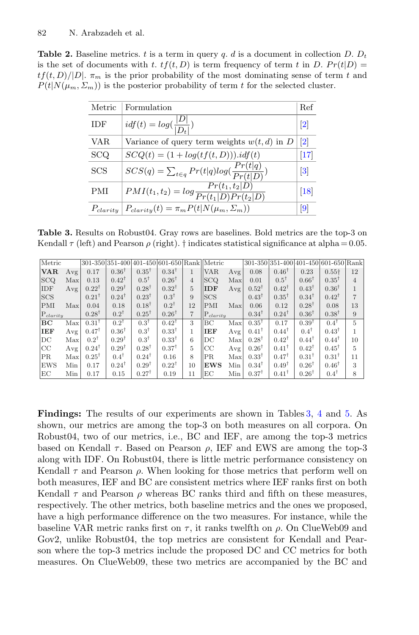<span id="page-4-0"></span>**Table 2.** Baseline metrics. t is a term in query q. d is a document in collection  $D$ .  $D_t$ is the set of documents with t.  $tf(t, D)$  is term frequency of term t in D.  $Pr(t|D)$  =  $tf(t, D)/|D|$ .  $\pi_m$  is the prior probability of the most dominating sense of term t and  $P(t|N(\mu_m, \Sigma_m))$  is the posterior probability of term t for the selected cluster.

| Metric        | Formulation                                                     | Ref                          |
|---------------|-----------------------------------------------------------------|------------------------------|
| IDF           | $i df(t) = log(\frac{ D }{ D_t })$                              | $\left 2\right $             |
| VAR           | Variance of query term weights $w(t, d)$ in D                   | $\left\lceil 2 \right\rceil$ |
| SCQ           | $SCQ(t) = (1 + log(tf(t, D))).idf(t)$                           | $\vert 17 \vert$             |
| <b>SCS</b>    | $SCS(q) = \sum_{t \in q} Pr(t q)log(\frac{Pr(t q)}{Pr(t D)})$   | $\vert 3 \vert$              |
| PMI           | $PMI(t_1, t_2) = log \frac{Pr(t_1, t_2 D)}{Pr(t_1 D)Pr(t_2 D)}$ | 18                           |
| $P_{clarity}$ | $P_{clarity}(t) = \pi_m P(t N(\mu_m, \Sigma_m))$                | 9                            |

<span id="page-4-1"></span>**Table 3.** Results on Robust04. Gray rows are baselines. Bold metrics are the top-3 on Kendall  $\tau$  (left) and Pearson  $\rho$  (right).  $\dagger$  indicates statistical significance at alpha = 0.05.

| Metric        |     |                  | 301-350 351-400 401-450 601-650 Rank Metric |                  |                  |                |               |     |                  | 301-350 351-400 401-450 601-650 Rank |                  |                  |                |
|---------------|-----|------------------|---------------------------------------------|------------------|------------------|----------------|---------------|-----|------------------|--------------------------------------|------------------|------------------|----------------|
| <b>VAR</b>    | Avg | 0.17             | $0.36^{\dagger}$                            | $0.35^{\dagger}$ | $0.34^{\dagger}$ | 1              | VAR.          | Avg | 0.08             | $0.46^{\dagger}$                     | 0.23             | $0.55\dagger$    | 12             |
| <b>SCQ</b>    | Max | 0.13             | $0.42^{\dagger}$                            | $0.5^{\dagger}$  | $0.26^{\dagger}$ | $\overline{4}$ | <b>SCQ</b>    | Max | 0.01             | $0.5^{\dagger}$                      | $0.66^{\dagger}$ | $0.35^{\dagger}$ | $\overline{4}$ |
| IDF           | Avg | $0.22^{\dagger}$ | $0.29^{\dagger}$                            | $0.28^{\dagger}$ | $0.32^{\dagger}$ | $\overline{5}$ | <b>IDF</b>    | Avg | $0.52^{\dagger}$ | $0.42^{\dagger}$                     | $0.43^{\dagger}$ | $0.36^{\dagger}$ |                |
| <b>SCS</b>    |     | $0.21^{\dagger}$ | $0.24^{\dagger}$                            | $0.23^{\dagger}$ | $0.3^{\dagger}$  | 9              | <b>SCS</b>    |     | $0.43^{\dagger}$ | $0.35^{\dagger}$                     | $0.34^{\dagger}$ | $0.42^{\dagger}$ |                |
| PMI           | Max | 0.04             | 0.18                                        | $0.18^{\dagger}$ | $0.2^{\dagger}$  | 12             | PMI           | Max | 0.06             | 0.12                                 | $0.28^{\dagger}$ | 0.08             | 13             |
| $P_{clarity}$ |     | $0.28^{\dagger}$ | $0.2^{\dagger}$                             | $0.25^{\dagger}$ | $0.26^{\dagger}$ | $\overline{7}$ | $P_{clarity}$ |     | $0.34^{\dagger}$ | $0.24^{\dagger}$                     | $0.36^{\dagger}$ | $0.38^{\dagger}$ | 9              |
| BС            | Max | $0.31^{\dagger}$ | $0.2^{\dagger}$                             | $0.3^{\dagger}$  | $0.42^{\dagger}$ | 3              | BC            | Max | $0.35^{\dagger}$ | 0.17                                 | $0.39^{\dagger}$ | $0.4^{\dagger}$  | $\overline{5}$ |
| <b>IEF</b>    | Avg | $0.47^{\dagger}$ | $0.36^{\dagger}$                            | $0.3^{\dagger}$  | $0.33^{\dagger}$ |                | <b>IEF</b>    | Avg | $0.41^{\dagger}$ | $0.44^{\dagger}$                     | $0.4^{\dagger}$  | $0.43^{\dagger}$ |                |
| DC            | Max | $0.2^{\dagger}$  | $0.29^{\dagger}$                            | $0.3^{\dagger}$  | $0.33^{\dagger}$ | 6              | DC            | Max | $0.28^{\dagger}$ | $0.42^{\dagger}$                     | $0.44^{\dagger}$ | $0.44^{\dagger}$ | 10             |
| <b>CC</b>     | Avg | $0.24^{\dagger}$ | $0.29^{\dagger}$                            | $0.28^{\dagger}$ | $0.37^{\dagger}$ | 5              | CC            | Avg | $0.26^{\dagger}$ | $0.41^{\dagger}$                     | $0.42^{\dagger}$ | $0.45^{\dagger}$ | 5              |
| PR.           | Max | $0.25^{\dagger}$ | $0.4^{\dagger}$                             | $0.24^{\dagger}$ | 0.16             | 8              | PR.           | Max | $0.33^{\dagger}$ | $0.47^{\dagger}$                     | $0.31^{\dagger}$ | $0.31^{\dagger}$ | 11             |
| <b>EWS</b>    | Min | 0.17             | $0.24^{\dagger}$                            | $0.29^{\dagger}$ | $0.22^{\dagger}$ | 10             | <b>EWS</b>    | Min | $0.34^{\dagger}$ | $0.49^{\dagger}$                     | $0.26^{\dagger}$ | $0.46^{\dagger}$ | 3              |
| EC            | Min | 0.17             | 0.15                                        | $0.27^{\dagger}$ | 0.19             | 11             | EC            | Min | $0.37^{\dagger}$ | $0.41^{\dagger}$                     | $0.26^{\dagger}$ | $0.4^{\dagger}$  | 8              |
|               |     |                  |                                             |                  |                  |                |               |     |                  |                                      |                  |                  |                |

**Findings:** The results of our experiments are shown in Tables [3,](#page-4-1) [4](#page-5-0) and [5.](#page-5-1) As shown, our metrics are among the top-3 on both measures on all corpora. On Robust04, two of our metrics, i.e., BC and IEF, are among the top-3 metrics based on Kendall  $\tau$ . Based on Pearson  $\rho$ , IEF and EWS are among the top-3 along with IDF. On Robust04, there is little metric performance consistency on Kendall  $\tau$  and Pearson  $\rho$ . When looking for those metrics that perform well on both measures, IEF and BC are consistent metrics where IEF ranks first on both Kendall  $\tau$  and Pearson  $\rho$  whereas BC ranks third and fifth on these measures, respectively. The other metrics, both baseline metrics and the ones we proposed, have a high performance difference on the two measures. For instance, while the baseline VAR metric ranks first on  $\tau$ , it ranks twelfth on  $\rho$ . On ClueWeb09 and Gov2, unlike Robust04, the top metrics are consistent for Kendall and Pearson where the top-3 metrics include the proposed DC and CC metrics for both measures. On ClueWeb09, these two metrics are accompanied by the BC and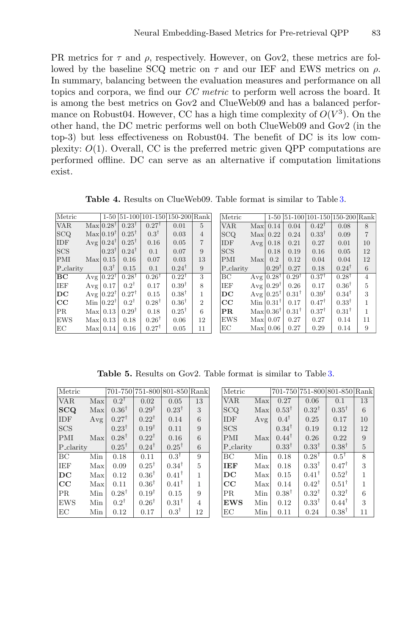PR metrics for  $\tau$  and  $\rho$ , respectively. However, on Gov2, these metrics are followed by the baseline SCQ metric on  $\tau$  and our IEF and EWS metrics on  $\rho$ . In summary, balancing between the evaluation measures and performance on all topics and corpora, we find our *CC metric* to perform well across the board. It is among the best metrics on Gov2 and ClueWeb09 and has a balanced performance on Robust04. However, CC has a high time complexity of  $O(V^3)$ . On the other hand, the DC metric performs well on both ClueWeb09 and Gov2 (in the top-3) but less effectiveness on Robust04. The benefit of DC is its low complexity:  $O(1)$ . Overall, CC is the preferred metric given QPP computations are performed offline. DC can serve as an alternative if computation limitations exist.

<span id="page-5-0"></span>**Table 4.** Results on ClueWeb09. Table format is similar to Table [3.](#page-4-1)

|                                            |                  |                  |                |                                  | Metric      |           |                                                                                                                                               |                                                                      |                  |                                  |
|--------------------------------------------|------------------|------------------|----------------|----------------------------------|-------------|-----------|-----------------------------------------------------------------------------------------------------------------------------------------------|----------------------------------------------------------------------|------------------|----------------------------------|
| $0.23^{\dagger}$<br>$Max 0.28^{\dagger} $  | $0.27^{\dagger}$ | 0.01             | $\overline{5}$ |                                  | VAR.        | 0.14      | 0.04                                                                                                                                          | $0.42^{\dagger}$                                                     | 0.08             | 8                                |
| $0.25^{\dagger}$<br>$Max[0.19^{\dagger}]$  | $0.3^{\dagger}$  | 0.03             | $\overline{4}$ |                                  | <b>SCQ</b>  |           | 0.24                                                                                                                                          | $0.33^{\dagger}$                                                     | 0.09             | $\overline{7}$                   |
| $0.25^{\dagger}$<br>Avg $0.24^{\dagger}$   | 0.16             | 0.05             | $\overline{7}$ |                                  | <b>IDF</b>  | 0.18      | 0.21                                                                                                                                          | 0.27                                                                 | 0.01             | 10                               |
| $0.24^{\dagger}$<br>$0.23^{\dagger}$       | 0.1              | 0.07             | 9              |                                  | <b>SCS</b>  | 0.18      | 0.19                                                                                                                                          | 0.16                                                                 | 0.05             | 12                               |
| Max $0.15$<br>0.16                         | 0.07             | 0.03             | 13             |                                  | PMI         | 0.2       | 0.12                                                                                                                                          | 0.04                                                                 | 0.04             | 12                               |
| $0.3^{\dagger}$<br>0.15                    | 0.1              | $0.24^{\dagger}$ | 9              |                                  |             |           | 0.27                                                                                                                                          | 0.18                                                                 | $0.24^{\dagger}$ | 6                                |
| $0.28^{\dagger}$<br>Avg $0.22^{\dagger}$   | $0.26^{\dagger}$ | $0.22^{\dagger}$ | 3              |                                  | BC          |           | $0.29^{\dagger}$                                                                                                                              | $0.37^{\dagger}$                                                     | $0.28^{\dagger}$ | $\overline{4}$                   |
| $0.2^{\dagger}$<br>0.17                    | 0.17             | $0.39^{\dagger}$ | 8              |                                  | IEF         |           | 0.26                                                                                                                                          | 0.17                                                                 | $0.36^{\dagger}$ | 5                                |
| $0.27^{\dagger}$<br>$Avg  0.22^{\dagger} $ | 0.15             | $0.38^{\dagger}$ | 1              |                                  | DC          |           | $0.31^{\dagger}$                                                                                                                              | $0.39^{\dagger}$                                                     | $0.34^{\dagger}$ | 3                                |
| $0.2^{\dagger}$<br>Min $0.22^{\dagger}$    | $0.28^{\dagger}$ | $0.36^{\dagger}$ | $\overline{2}$ |                                  | $_{\rm CC}$ |           | 0.17                                                                                                                                          | $0.47^{\dagger}$                                                     | $0.33^{\dagger}$ | $\mathbf{1}$                     |
| $0.29^{\dagger}$<br>$\text{Max}$ 0.13      | 0.18             | $0.25^{\dagger}$ | 6              |                                  | PR          |           | $0.31^{\dagger}$                                                                                                                              | $0.37^{\dagger}$                                                     | $0.31^{\dagger}$ | 1                                |
| 0.18<br>Max $\vert 0.13 \vert$             | $0.26^{\dagger}$ | 0.06             | 12             |                                  | <b>EWS</b>  |           | 0.27                                                                                                                                          | 0.27                                                                 | 0.14             | 11                               |
| 0.16<br>Max 0.14                           | $0.27^{\dagger}$ | 0.05             | 11             |                                  | EС          |           | 0.27                                                                                                                                          | 0.29                                                                 | 0.14             | 9                                |
|                                            |                  |                  |                | 1-50 51-100 101-150 150-200 Rank |             | P_clarity | Max<br>Max 0.22<br>Avg <sub>l</sub><br>Max<br>$0.29^{\dagger}$<br>Avg $0.29^{\dagger}$<br>Min $0.31^{\dagger}$<br>Max 0.07<br>$\rm{Max}$ 0.06 | Avg $0.28^{\dagger}$<br>Avg $0.25^{\dagger}$<br>$Max 0.36^{\dagger}$ |                  | 1-50 51-100 101-150 150-200 Rank |

<span id="page-5-1"></span>**Table 5.** Results on Gov2. Table format is similar to Table [3.](#page-4-1)

| Metric      |     |                  | 701-750 751-800 801-850 Rank |                  |                | Metric      |              |                  |                  | 701-750 751-800 801-850 Rank |               |
|-------------|-----|------------------|------------------------------|------------------|----------------|-------------|--------------|------------------|------------------|------------------------------|---------------|
| VAR.        | Max | $0.2^{\dagger}$  | 0.02                         | 0.05             | 13             | VAR.        | Max          | 0.27             | 0.06             | 0.1                          | 13            |
| <b>SCQ</b>  | Max | $0.36^{\dagger}$ | $0.29^{\dagger}$             | $0.23^{\dagger}$ | 3              | <b>SCQ</b>  | Max          | $0.53^{\dagger}$ | $0.32^{\dagger}$ | $0.35^{\dagger}$             | 6             |
| <b>IDF</b>  | Avg | $0.27^{\dagger}$ | $0.22^{\dagger}$             | 0.14             | 6              | IDF         | Avg          | $0.4^{\dagger}$  | 0.25             | 0.17                         | 10            |
| <b>SCS</b>  |     | $0.23^{\dagger}$ | $0.19^{\dagger}$             | 0.11             | 9              | <b>SCS</b>  |              | $0.34^{\dagger}$ | 0.19             | 0.12                         | 12            |
| PMI         | Max | $0.28^{\dagger}$ | $0.22^{\dagger}$             | 0.16             | 6              | PMI         | Max          | $0.44^{\dagger}$ | 0.26             | 0.22                         | 9             |
| P_clarity   |     | $0.25^{\dagger}$ | $0.24^{\dagger}$             | $0.25^{\dagger}$ | 6              | P_clarity   |              | $0.33^{\dagger}$ | $0.33^{\dagger}$ | $0.38^{\dagger}$             | $\frac{5}{2}$ |
| BC          | Min | 0.18             | 0.11                         | $0.3^{\dagger}$  | 9              | ВC          | Min          | 0.18             | $0.28^{\dagger}$ | $0.5^{\dagger}$              | $\mathbf{8}$  |
| IEF         | Max | 0.09             | $0.25^{\dagger}$             | $0.34^{\dagger}$ | 5              | IEF         | $\text{Max}$ | 0.18             | $0.33^{\dagger}$ | $0.47^{\dagger}$             | 3             |
| DC          | Max | 0.12             | $0.36^{\dagger}$             | $0.41^{\dagger}$ | 1              | $_{\rm DC}$ | $\text{Max}$ | 0.15             | $0.41^{\dagger}$ | $0.52^{\dagger}$             |               |
| $_{\rm CC}$ | Max | 0.11             | $0.36^{\dagger}$             | $0.41^{\dagger}$ | 1              | $_{\rm CC}$ | $\text{Max}$ | 0.14             | $0.42^{\dagger}$ | $0.51^{\dagger}$             |               |
| <b>PR</b>   | Min | $0.28^{\dagger}$ | $0.19^{\dagger}$             | 0.15             | 9              | <b>PR</b>   | Min          | $0.38^{\dagger}$ | $0.32^{\dagger}$ | $0.32^{\dagger}$             | 6             |
| <b>EWS</b>  | Min | $0.2^{\dagger}$  | $0.26^{\dagger}$             | $0.31^{\dagger}$ | $\overline{4}$ | <b>EWS</b>  | Min          | 0.12             | $0.33^{\dagger}$ | $0.44^{\dagger}$             | 3             |
| EC          | Min | 0.12             | 0.17                         | $0.3^{\dagger}$  | 12             | EС          | Min          | 0.11             | 0.24             | $0.38^{\dagger}$             | 11            |
|             |     |                  |                              |                  |                |             |              |                  |                  |                              |               |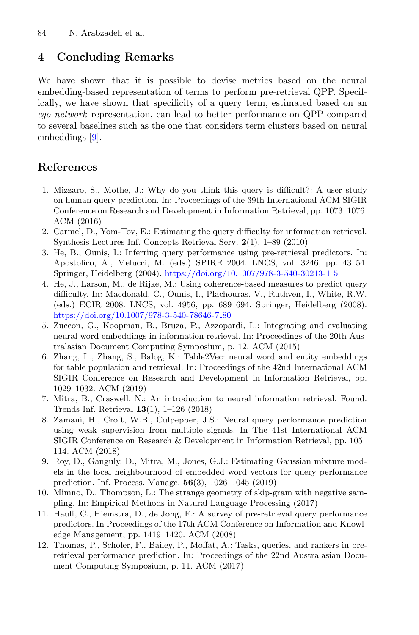## **4 Concluding Remarks**

We have shown that it is possible to devise metrics based on the neural embedding-based representation of terms to perform pre-retrieval QPP. Specifically, we have shown that specificity of a query term, estimated based on an *ego network* representation, can lead to better performance on QPP compared to several baselines such as the one that considers term clusters based on neural embeddings [\[9](#page-6-5)].

## **References**

- <span id="page-6-0"></span>1. Mizzaro, S., Mothe, J.: Why do you think this query is difficult?: A user study on human query prediction. In: Proceedings of the 39th International ACM SIGIR Conference on Research and Development in Information Retrieval, pp. 1073–1076. ACM (2016)
- <span id="page-6-1"></span>2. Carmel, D., Yom-Tov, E.: Estimating the query difficulty for information retrieval. Synthesis Lectures Inf. Concepts Retrieval Serv. **2**(1), 1–89 (2010)
- <span id="page-6-7"></span>3. He, B., Ounis, I.: Inferring query performance using pre-retrieval predictors. In: Apostolico, A., Melucci, M. (eds.) SPIRE 2004. LNCS, vol. 3246, pp. 43–54. Springer, Heidelberg (2004). [https://doi.org/10.1007/978-3-540-30213-1](https://doi.org/10.1007/978-3-540-30213-1_5) 5
- <span id="page-6-8"></span>4. He, J., Larson, M., de Rijke, M.: Using coherence-based measures to predict query difficulty. In: Macdonald, C., Ounis, I., Plachouras, V., Ruthven, I., White, R.W. (eds.) ECIR 2008. LNCS, vol. 4956, pp. 689–694. Springer, Heidelberg (2008). [https://doi.org/10.1007/978-3-540-78646-7](https://doi.org/10.1007/978-3-540-78646-7_80) 80
- <span id="page-6-2"></span>5. Zuccon, G., Koopman, B., Bruza, P., Azzopardi, L.: Integrating and evaluating neural word embeddings in information retrieval. In: Proceedings of the 20th Australasian Document Computing Symposium, p. 12. ACM (2015)
- 6. Zhang, L., Zhang, S., Balog, K.: Table2Vec: neural word and entity embeddings for table population and retrieval. In: Proceedings of the 42nd International ACM SIGIR Conference on Research and Development in Information Retrieval, pp. 1029–1032. ACM (2019)
- <span id="page-6-3"></span>7. Mitra, B., Craswell, N.: An introduction to neural information retrieval. Found. Trends Inf. Retrieval **13**(1), 1–126 (2018)
- <span id="page-6-4"></span>8. Zamani, H., Croft, W.B., Culpepper, J.S.: Neural query performance prediction using weak supervision from multiple signals. In The 41st International ACM SIGIR Conference on Research & Development in Information Retrieval, pp. 105– 114. ACM (2018)
- <span id="page-6-5"></span>9. Roy, D., Ganguly, D., Mitra, M., Jones, G.J.: Estimating Gaussian mixture models in the local neighbourhood of embedded word vectors for query performance prediction. Inf. Process. Manage. **56**(3), 1026–1045 (2019)
- <span id="page-6-6"></span>10. Mimno, D., Thompson, L.: The strange geometry of skip-gram with negative sampling. In: Empirical Methods in Natural Language Processing (2017)
- <span id="page-6-9"></span>11. Hauff, C., Hiemstra, D., de Jong, F.: A survey of pre-retrieval query performance predictors. In Proceedings of the 17th ACM Conference on Information and Knowledge Management, pp. 1419–1420. ACM (2008)
- <span id="page-6-10"></span>12. Thomas, P., Scholer, F., Bailey, P., Moffat, A.: Tasks, queries, and rankers in preretrieval performance prediction. In: Proceedings of the 22nd Australasian Document Computing Symposium, p. 11. ACM (2017)